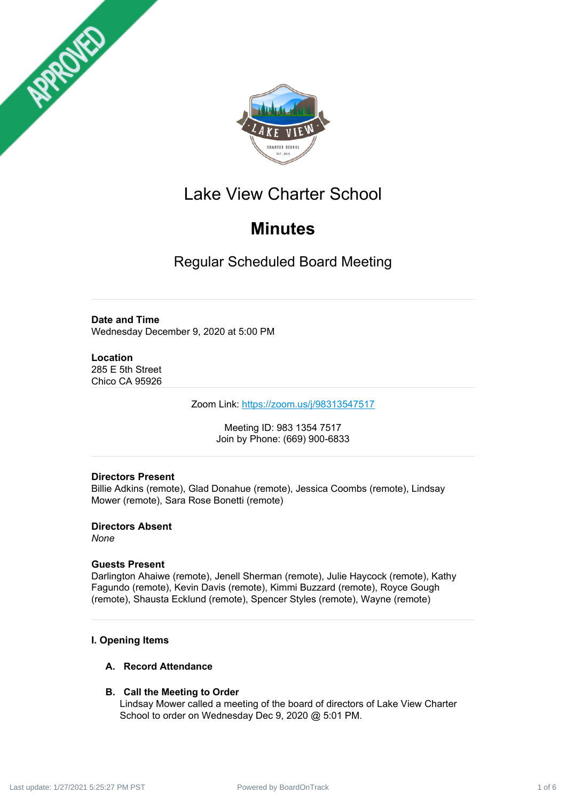



# Lake View Charter School

# **Minutes**

Regular Scheduled Board Meeting

# **Date and Time**

Wednesday December 9, 2020 at 5:00 PM

## **Location**

285 E 5th Street Chico CA 95926

Zoom Link: <https://zoom.us/j/98313547517>

Meeting ID: 983 1354 7517 Join by Phone: (669) 900-6833

# **Directors Present**

Billie Adkins (remote), Glad Donahue (remote), Jessica Coombs (remote), Lindsay Mower (remote), Sara Rose Bonetti (remote)

**Directors Absent** *None*

# **Guests Present**

Darlington Ahaiwe (remote), Jenell Sherman (remote), Julie Haycock (remote), Kathy Fagundo (remote), Kevin Davis (remote), Kimmi Buzzard (remote), Royce Gough (remote), Shausta Ecklund (remote), Spencer Styles (remote), Wayne (remote)

# **I. Opening Items**

# **A. Record Attendance**

# **B. Call the Meeting to Order**

Lindsay Mower called a meeting of the board of directors of Lake View Charter School to order on Wednesday Dec 9, 2020 @ 5:01 PM.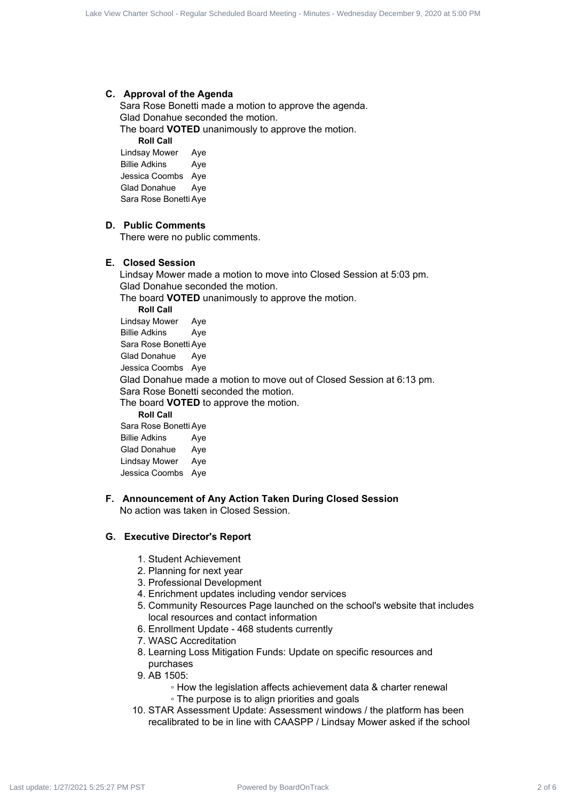#### **C. Approval of the Agenda**

Sara Rose Bonetti made a motion to approve the agenda. Glad Donahue seconded the motion.

The board **VOTED** unanimously to approve the motion.

**Roll Call**

Lindsay Mower Aye Billie Adkins Aye Jessica Coombs Aye Glad Donahue Aye Sara Rose Bonetti Aye

# **D. Public Comments**

There were no public comments.

## **E. Closed Session**

Lindsay Mower made a motion to move into Closed Session at 5:03 pm. Glad Donahue seconded the motion. The board **VOTED** unanimously to approve the motion. **Roll Call** Lindsay Mower Aye Billie Adkins Aye Sara Rose Bonetti Aye Glad Donahue Aye Jessica Coombs Aye Glad Donahue made a motion to move out of Closed Session at 6:13 pm. Sara Rose Bonetti seconded the motion. The board **VOTED** to approve the motion. **Roll Call** Sara Rose Bonetti Aye Billie Adkins Aye Glad Donahue Aye Lindsay Mower Aye Lack Scheduled Board Board Scheduled Board December 8, 1982 - Northogon Board December 1, 2020 at 1992 - Regular Scheduled Board December 1, 2020 at 1992 - 1/27/2022 - 1/27/2022 - 1/27/2022 - 1/27/2022 - 1/27/2022 - 1/2

Jessica Coombs Aye

## **F. Announcement of Any Action Taken During Closed Session** No action was taken in Closed Session.

# **G. Executive Director's Report**

- 1. Student Achievement
- 2. Planning for next year
- 3. Professional Development
- 4. Enrichment updates including vendor services
- 5. Community Resources Page launched on the school's website that includes local resources and contact information
- 6. Enrollment Update 468 students currently
- 7. WASC Accreditation
- 8. Learning Loss Mitigation Funds: Update on specific resources and purchases
- 9. AB 1505:
	- How the legislation affects achievement data & charter renewal
	- The purpose is to align priorities and goals
- 10. STAR Assessment Update: Assessment windows / the platform has been recalibrated to be in line with CAASPP / Lindsay Mower asked if the school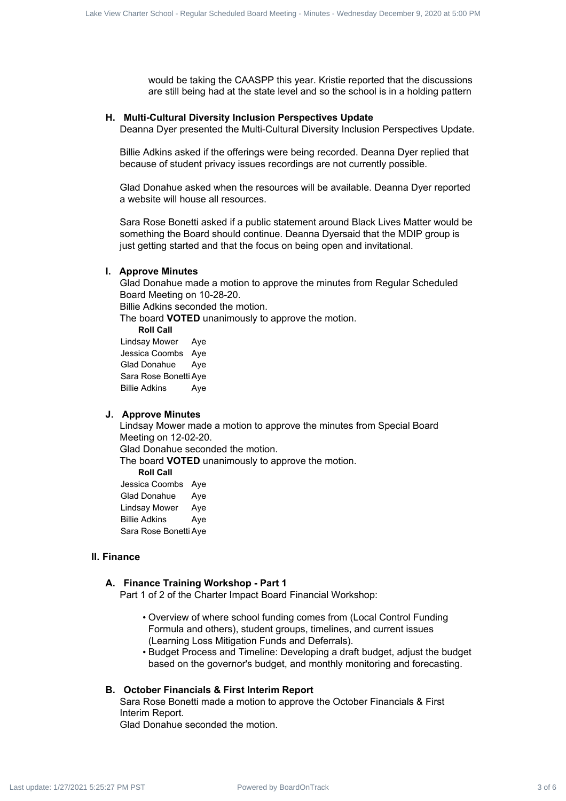would be taking the CAASPP this year. Kristie reported that the discussions are still being had at the state level and so the school is in a holding pattern

#### **H. Multi-Cultural Diversity Inclusion Perspectives Update**

Deanna Dyer presented the Multi-Cultural Diversity Inclusion Perspectives Update.

Billie Adkins asked if the offerings were being recorded. Deanna Dyer replied that because of student privacy issues recordings are not currently possible.

Glad Donahue asked when the resources will be available. Deanna Dyer reported a website will house all resources.

Sara Rose Bonetti asked if a public statement around Black Lives Matter would be something the Board should continue. Deanna Dyersaid that the MDIP group is just getting started and that the focus on being open and invitational.

#### **I. Approve Minutes**

Glad Donahue made a motion to approve the minutes from Regular Scheduled Board Meeting on 10-28-20.

Billie Adkins seconded the motion.

The board **VOTED** unanimously to approve the motion.

**Roll Call**

Lindsay Mower Aye Jessica Coombs Aye Glad Donahue Aye Sara Rose Bonetti Aye Billie Adkins Aye

#### **J. Approve Minutes**

Sara Rose Bonetti Aye

Lindsay Mower made a motion to approve the minutes from Special Board Meeting on 12-02-20. Glad Donahue seconded the motion. The board **VOTED** unanimously to approve the motion. **Roll Call** Jessica Coombs Aye Glad Donahue Aye Lindsay Mower Aye Billie Adkins Aye Fower Contract Schedule Meeting School - Regular Schedule Schedule Schedule Schedule Schedule Schedule Schedule<br>
Powered by Board Meeting Powered Board Schedule Schedule Schedule Schedule Schedule Schedule Schedule Sche

#### **II. Finance**

#### **A. Finance Training Workshop - Part 1**

Part 1 of 2 of the Charter Impact Board Financial Workshop:

- Overview of where school funding comes from (Local Control Funding Formula and others), student groups, timelines, and current issues (Learning Loss Mitigation Funds and Deferrals).
- Budget Process and Timeline: Developing a draft budget, adjust the budget based on the governor's budget, and monthly monitoring and forecasting.

#### **B. October Financials & First Interim Report**

Sara Rose Bonetti made a motion to approve the October Financials & First Interim Report.

Glad Donahue seconded the motion.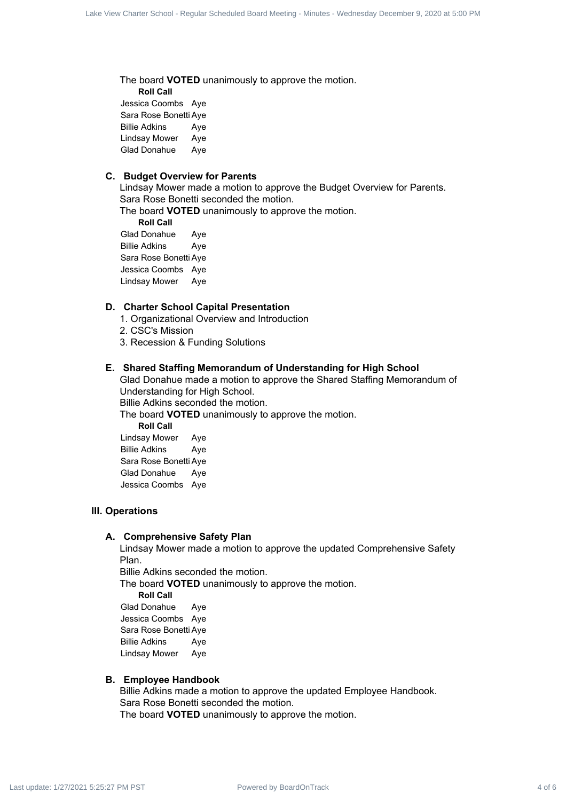The board **VOTED** unanimously to approve the motion.

**Roll Call** Jessica Coombs Aye Sara Rose Bonetti Aye Billie Adkins Aye Lindsay Mower Aye Glad Donahue Aye

#### **C. Budget Overview for Parents**

Lindsay Mower made a motion to approve the Budget Overview for Parents. Sara Rose Bonetti seconded the motion.

The board **VOTED** unanimously to approve the motion.

**Roll Call** Glad Donahue Aye Billie Adkins Aye Sara Rose Bonetti Aye Jessica Coombs Aye Lindsay Mower Aye

## **D. Charter School Capital Presentation**

- 1. Organizational Overview and Introduction
- 2. CSC's Mission
- 3. Recession & Funding Solutions

#### **E. Shared Staffing Memorandum of Understanding for High School**

Glad Donahue made a motion to approve the Shared Staffing Memorandum of Understanding for High School.

Billie Adkins seconded the motion.

The board **VOTED** unanimously to approve the motion.

**Roll Call** Lindsay Mower Aye Billie Adkins Aye Sara Rose Bonetti Aye Glad Donahue Aye Jessica Coombs Aye

# **III. Operations**

#### **A. Comprehensive Safety Plan**

Lindsay Mower made a motion to approve the updated Comprehensive Safety Plan.

Billie Adkins seconded the motion.

The board **VOTED** unanimously to approve the motion.

**Roll Call**

Glad Donahue Aye Jessica Coombs Aye Sara Rose Bonetti Aye Billie Adkins Aye Lindsay Mower Aye

#### **B. Employee Handbook**

Billie Adkins made a motion to approve the updated Employee Handbook. Sara Rose Bonetti seconded the motion. The board **VOTED** unanimously to approve the motion. Box Counter Board Contract 4 of 6 Lake View Charter School - Regular Schedule Scheduled Board - Regular School - Regular Schedule Schedule Schedule Schedule Schedule Schedule Schedule Schedule Schedule Schedule Schedule S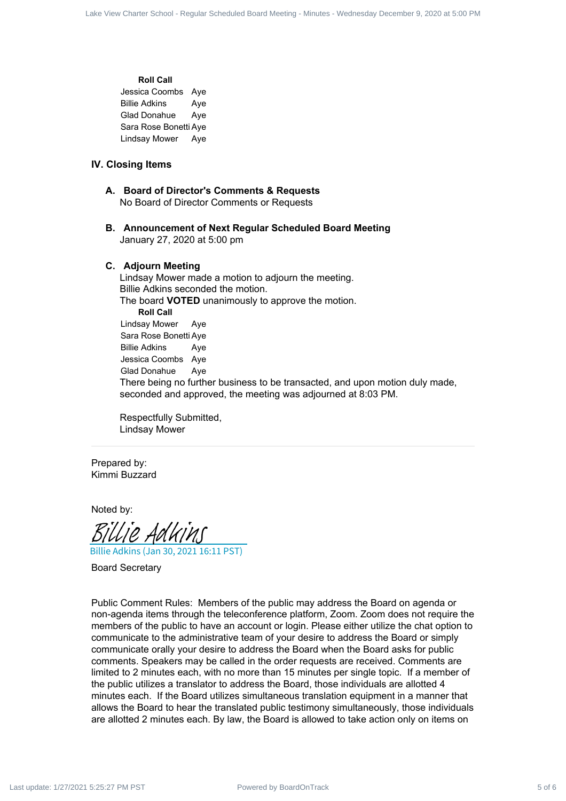# **Roll Call** Jessica Coombs Aye Billie Adkins Aye Glad Donahue Aye

Sara Rose Bonetti Aye Lindsay Mower Aye

#### **IV. Closing Items**

- **A. Board of Director's Comments & Requests** No Board of Director Comments or Requests
- **B. Announcement of Next Regular Scheduled Board Meeting** January 27, 2020 at 5:00 pm

#### **C. Adjourn Meeting**

Lindsay Mower made a motion to adjourn the meeting. Billie Adkins seconded the motion. The board **VOTED** unanimously to approve the motion. **Roll Call** Lindsay Mower Aye Sara Rose Bonetti Aye Billie Adkins Aye Jessica Coombs Aye Glad Donahue Aye There being no further business to be transacted, and upon motion duly made, seconded and approved, the meeting was adjourned at 8:03 PM.

Respectfully Submitted, Lindsay Mower

Prepared by: Kimmi Buzzard

Noted by:

Billie Adkins (Jan 30, 2021 16:11 PST) [Billie Adkins](https://na2.documents.adobe.com/verifier?tx=CBJCHBCAABAA9sR-Y6S2sesdf2NRHcECEOtJMD5PXAZA)

Board Secretary

Public Comment Rules: Members of the public may address the Board on agenda or non-agenda items through the teleconference platform, Zoom. Zoom does not require the members of the public to have an account or login. Please either utilize the chat option to communicate to the administrative team of your desire to address the Board or simply communicate orally your desire to address the Board when the Board asks for public comments. Speakers may be called in the order requests are received. Comments are limited to 2 minutes each, with no more than 15 minutes per single topic. If a member of the public utilizes a translator to address the Board, those individuals are allotted 4 minutes each. If the Board utilizes simultaneous translation equipment in a manner that allows the Board to hear the translated public testimony simultaneously, those individuals are allotted 2 minutes each. By law, the Board is allowed to take action only on items on Board Communication of Equilibrium Charter School - Regular School - Regular Scheduled Board Meeting - Regular School - Regular Scheduled Board Meeting - Minutes - Wednesday December 9, 2020 at 5:00 PM December 9, 2020 at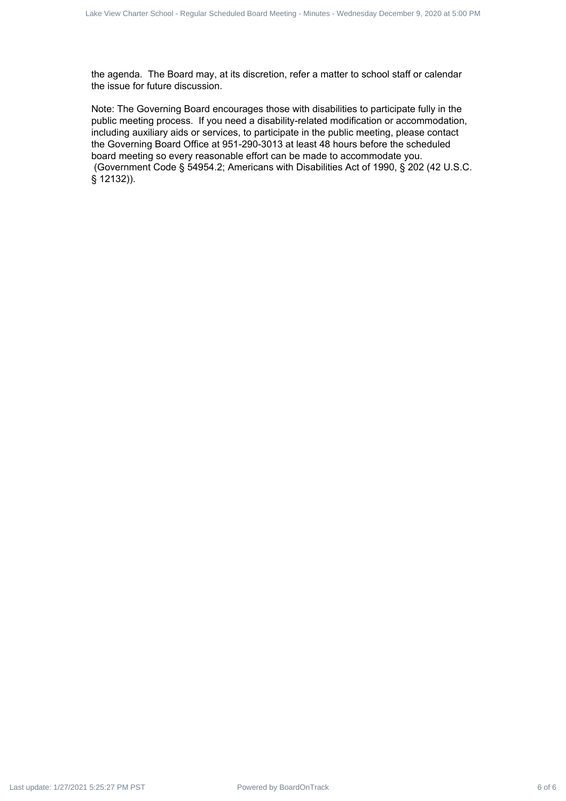the agenda. The Board may, at its discretion, refer a matter to school staff or calendar the issue for future discussion.

Note: The Governing Board encourages those with disabilities to participate fully in the public meeting process. If you need a disability-related modification or accommodation, including auxiliary aids or services, to participate in the public meeting, please contact the Governing Board Office at 951-290-3013 at least 48 hours before the scheduled board meeting so every reasonable effort can be made to accommodate you. (Government Code § 54954.2; Americans with Disabilities Act of 1990, § 202 (42 U.S.C. § 12132)). Last de Ontario Board - Regular Bachard Board - Regular - Regular - Regular Scheduled Board - Regular - Regular December 9, 2020 at 5:00 PM Last update: The December 9, 2020 at 5:00 PM Last update: 1/27/2021 5:27 PM Last